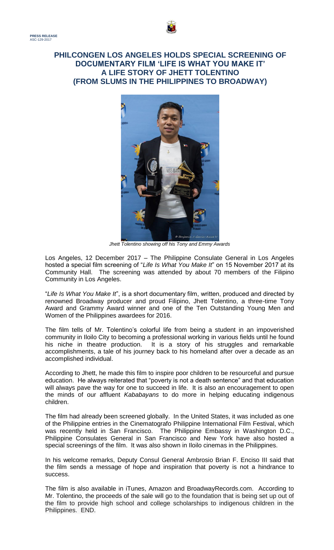



*Jhett Tolentino showing off his Tony and Emmy Awards*

Los Angeles, 12 December 2017 – The Philippine Consulate General in Los Angeles hosted a special film screening of "*Life Is What You Make It*" on 15 November 2017 at its Community Hall. The screening was attended by about 70 members of the Filipino Community in Los Angeles.

"*Life Is What You Make It*", is a short documentary film, written, produced and directed by renowned Broadway producer and proud Filipino, Jhett Tolentino, a three-time Tony Award and Grammy Award winner and one of the Ten Outstanding Young Men and Women of the Philippines awardees for 2016.

The film tells of Mr. Tolentino's colorful life from being a student in an impoverished community in Iloilo City to becoming a professional working in various fields until he found his niche in theatre production. It is a story of his struggles and remarkable accomplishments, a tale of his journey back to his homeland after over a decade as an accomplished individual.

According to Jhett, he made this film to inspire poor children to be resourceful and pursue education. He always reiterated that "poverty is not a death sentence" and that education will always pave the way for one to succeed in life. It is also an encouragement to open the minds of our affluent *Kababayans* to do more in helping educating indigenous children.

The film had already been screened globally. In the United States, it was included as one of the Philippine entries in the Cinematografo Philippine International Film Festival, which was recently held in San Francisco. The Philippine Embassy in Washington D.C., Philippine Consulates General in San Francisco and New York have also hosted a special screenings of the film. It was also shown in Iloilo cinemas in the Philippines.

In his welcome remarks, Deputy Consul General Ambrosio Brian F. Enciso III said that the film sends a message of hope and inspiration that poverty is not a hindrance to success.

The film is also available in iTunes, Amazon and BroadwayRecords.com. According to Mr. Tolentino, the proceeds of the sale will go to the foundation that is being set up out of the film to provide high school and college scholarships to indigenous children in the Philippines. END.